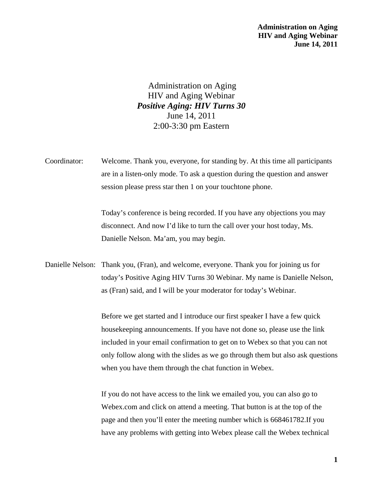**Administration on Aging HIV and Aging Webinar June 14, 2011** 

Administration on Aging HIV and Aging Webinar *Positive Aging: HIV Turns 30* June 14, 2011 2:00-3:30 pm Eastern

Coordinator: Welcome. Thank you, everyone, for standing by. At this time all participants are in a listen-only mode. To ask a question during the question and answer session please press star then 1 on your touchtone phone.

> Today's conference is being recorded. If you have any objections you may disconnect. And now I'd like to turn the call over your host today, Ms. Danielle Nelson. Ma'am, you may begin.

Danielle Nelson: Thank you, (Fran), and welcome, everyone. Thank you for joining us for today's Positive Aging HIV Turns 30 Webinar. My name is Danielle Nelson, as (Fran) said, and I will be your moderator for today's Webinar.

> Before we get started and I introduce our first speaker I have a few quick housekeeping announcements. If you have not done so, please use the link included in your email confirmation to get on to Webex so that you can not only follow along with the slides as we go through them but also ask questions when you have them through the chat function in Webex.

If you do not have access to the link we emailed you, you can also go to Webex.com and click on attend a meeting. That button is at the top of the page and then you'll enter the meeting number which is 668461782.If you have any problems with getting into Webex please call the Webex technical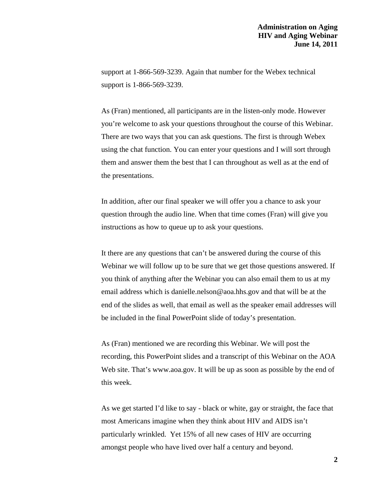support at 1-866-569-3239. Again that number for the Webex technical support is 1-866-569-3239.

As (Fran) mentioned, all participants are in the listen-only mode. However you're welcome to ask your questions throughout the course of this Webinar. There are two ways that you can ask questions. The first is through Webex using the chat function. You can enter your questions and I will sort through them and answer them the best that I can throughout as well as at the end of the presentations.

In addition, after our final speaker we will offer you a chance to ask your question through the audio line. When that time comes (Fran) will give you instructions as how to queue up to ask your questions.

It there are any questions that can't be answered during the course of this Webinar we will follow up to be sure that we get those questions answered. If you think of anything after the Webinar you can also email them to us at my email address which is [danielle.nelson@aoa.hhs.gov](mailto:anielle.nelson@aoa.hhs.gov) and that will be at the end of the slides as well, that email as well as the speaker email addresses will be included in the final PowerPoint slide of today's presentation.

As (Fran) mentioned we are recording this Webinar. We will post the recording, this PowerPoint slides and a transcript of this Webinar on the AOA Web site. That's [www.aoa.gov.](http://www.aoa.gov/) It will be up as soon as possible by the end of this week.

As we get started I'd like to say - black or white, gay or straight, the face that most Americans imagine when they think about HIV and AIDS isn't particularly wrinkled. Yet 15% of all new cases of HIV are occurring amongst people who have lived over half a century and beyond.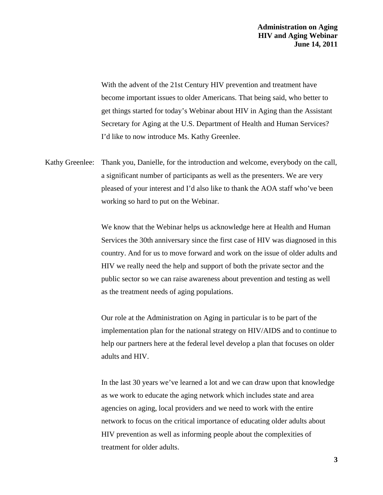With the advent of the 21st Century HIV prevention and treatment have become important issues to older Americans. That being said, who better to get things started for today's Webinar about HIV in Aging than the Assistant Secretary for Aging at the U.S. Department of Health and Human Services? I'd like to now introduce Ms. Kathy Greenlee.

Kathy Greenlee: Thank you, Danielle, for the introduction and welcome, everybody on the call, a significant number of participants as well as the presenters. We are very pleased of your interest and I'd also like to thank the AOA staff who've been working so hard to put on the Webinar.

> We know that the Webinar helps us acknowledge here at Health and Human Services the 30th anniversary since the first case of HIV was diagnosed in this country. And for us to move forward and work on the issue of older adults and HIV we really need the help and support of both the private sector and the public sector so we can raise awareness about prevention and testing as well as the treatment needs of aging populations.

> Our role at the Administration on Aging in particular is to be part of the implementation plan for the national strategy on HIV/AIDS and to continue to help our partners here at the federal level develop a plan that focuses on older adults and HIV.

> In the last 30 years we've learned a lot and we can draw upon that knowledge as we work to educate the aging network which includes state and area agencies on aging, local providers and we need to work with the entire network to focus on the critical importance of educating older adults about HIV prevention as well as informing people about the complexities of treatment for older adults.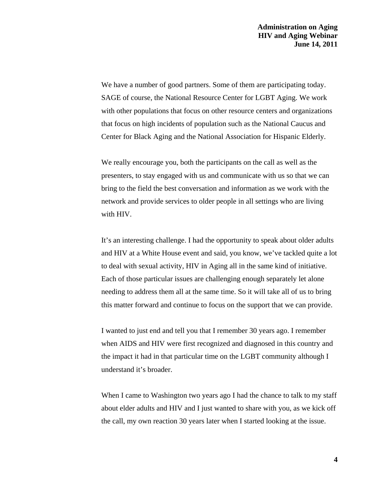We have a number of good partners. Some of them are participating today. SAGE of course, the National Resource Center for LGBT Aging. We work with other populations that focus on other resource centers and organizations that focus on high incidents of population such as the National Caucus and Center for Black Aging and the National Association for Hispanic Elderly.

We really encourage you, both the participants on the call as well as the presenters, to stay engaged with us and communicate with us so that we can bring to the field the best conversation and information as we work with the network and provide services to older people in all settings who are living with HIV.

It's an interesting challenge. I had the opportunity to speak about older adults and HIV at a White House event and said, you know, we've tackled quite a lot to deal with sexual activity, HIV in Aging all in the same kind of initiative. Each of those particular issues are challenging enough separately let alone needing to address them all at the same time. So it will take all of us to bring this matter forward and continue to focus on the support that we can provide.

I wanted to just end and tell you that I remember 30 years ago. I remember when AIDS and HIV were first recognized and diagnosed in this country and the impact it had in that particular time on the LGBT community although I understand it's broader.

When I came to Washington two years ago I had the chance to talk to my staff about elder adults and HIV and I just wanted to share with you, as we kick off the call, my own reaction 30 years later when I started looking at the issue.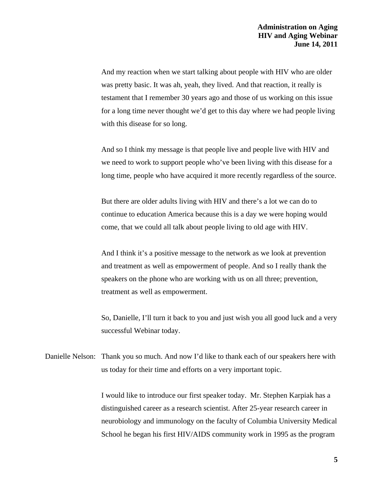And my reaction when we start talking about people with HIV who are older was pretty basic. It was ah, yeah, they lived. And that reaction, it really is testament that I remember 30 years ago and those of us working on this issue for a long time never thought we'd get to this day where we had people living with this disease for so long.

And so I think my message is that people live and people live with HIV and we need to work to support people who've been living with this disease for a long time, people who have acquired it more recently regardless of the source.

But there are older adults living with HIV and there's a lot we can do to continue to education America because this is a day we were hoping would come, that we could all talk about people living to old age with HIV.

And I think it's a positive message to the network as we look at prevention and treatment as well as empowerment of people. And so I really thank the speakers on the phone who are working with us on all three; prevention, treatment as well as empowerment.

So, Danielle, I'll turn it back to you and just wish you all good luck and a very successful Webinar today.

Danielle Nelson: Thank you so much. And now I'd like to thank each of our speakers here with us today for their time and efforts on a very important topic.

> I would like to introduce our first speaker today. Mr. Stephen Karpiak has a distinguished career as a research scientist. After 25-year research career in neurobiology and immunology on the faculty of Columbia University Medical School he began his first HIV/AIDS community work in 1995 as the program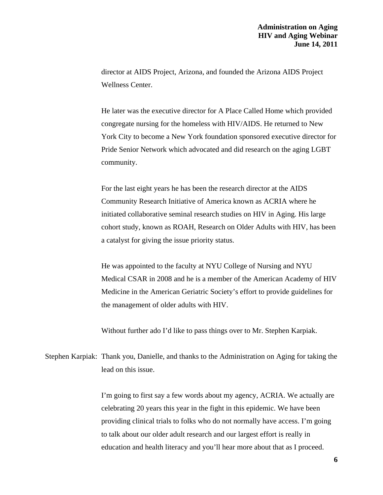director at AIDS Project, Arizona, and founded the Arizona AIDS Project Wellness Center.

He later was the executive director for A Place Called Home which provided congregate nursing for the homeless with HIV/AIDS. He returned to New York City to become a New York foundation sponsored executive director for Pride Senior Network which advocated and did research on the aging LGBT community.

For the last eight years he has been the research director at the AIDS Community Research Initiative of America known as ACRIA where he initiated collaborative seminal research studies on HIV in Aging. His large cohort study, known as ROAH, Research on Older Adults with HIV, has been a catalyst for giving the issue priority status.

He was appointed to the faculty at NYU College of Nursing and NYU Medical CSAR in 2008 and he is a member of the American Academy of HIV Medicine in the American Geriatric Society's effort to provide guidelines for the management of older adults with HIV.

Without further ado I'd like to pass things over to Mr. Stephen Karpiak.

Stephen Karpiak: Thank you, Danielle, and thanks to the Administration on Aging for taking the lead on this issue.

> I'm going to first say a few words about my agency, ACRIA. We actually are celebrating 20 years this year in the fight in this epidemic. We have been providing clinical trials to folks who do not normally have access. I'm going to talk about our older adult research and our largest effort is really in education and health literacy and you'll hear more about that as I proceed.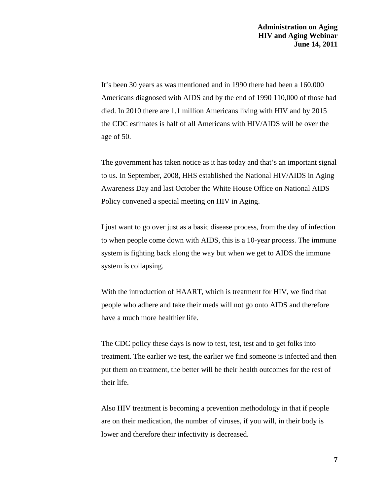It's been 30 years as was mentioned and in 1990 there had been a 160,000 Americans diagnosed with AIDS and by the end of 1990 110,000 of those had died. In 2010 there are 1.1 million Americans living with HIV and by 2015 the CDC estimates is half of all Americans with HIV/AIDS will be over the age of 50.

The government has taken notice as it has today and that's an important signal to us. In September, 2008, HHS established the National HIV/AIDS in Aging Awareness Day and last October the White House Office on National AIDS Policy convened a special meeting on HIV in Aging.

I just want to go over just as a basic disease process, from the day of infection to when people come down with AIDS, this is a 10-year process. The immune system is fighting back along the way but when we get to AIDS the immune system is collapsing.

With the introduction of HAART, which is treatment for HIV, we find that people who adhere and take their meds will not go onto AIDS and therefore have a much more healthier life.

The CDC policy these days is now to test, test, test and to get folks into treatment. The earlier we test, the earlier we find someone is infected and then put them on treatment, the better will be their health outcomes for the rest of their life.

Also HIV treatment is becoming a prevention methodology in that if people are on their medication, the number of viruses, if you will, in their body is lower and therefore their infectivity is decreased.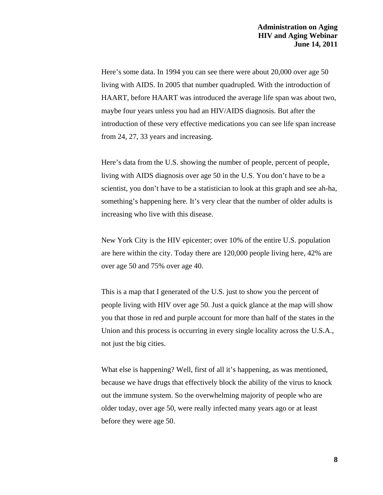Here's some data. In 1994 you can see there were about 20,000 over age 50 living with AIDS. In 2005 that number quadrupled. With the introduction of HAART, before HAART was introduced the average life span was about two, maybe four years unless you had an HIV/AIDS diagnosis. But after the introduction of these very effective medications you can see life span increase from 24, 27, 33 years and increasing.

Here's data from the U.S. showing the number of people, percent of people, living with AIDS diagnosis over age 50 in the U.S. You don't have to be a scientist, you don't have to be a statistician to look at this graph and see ah-ha, something's happening here. It's very clear that the number of older adults is increasing who live with this disease.

New York City is the HIV epicenter; over 10% of the entire U.S. population are here within the city. Today there are 120,000 people living here, 42% are over age 50 and 75% over age 40.

This is a map that I generated of the U.S. just to show you the percent of people living with HIV over age 50. Just a quick glance at the map will show you that those in red and purple account for more than half of the states in the Union and this process is occurring in every single locality across the U.S.A., not just the big cities.

What else is happening? Well, first of all it's happening, as was mentioned, because we have drugs that effectively block the ability of the virus to knock out the immune system. So the overwhelming majority of people who are older today, over age 50, were really infected many years ago or at least before they were age 50.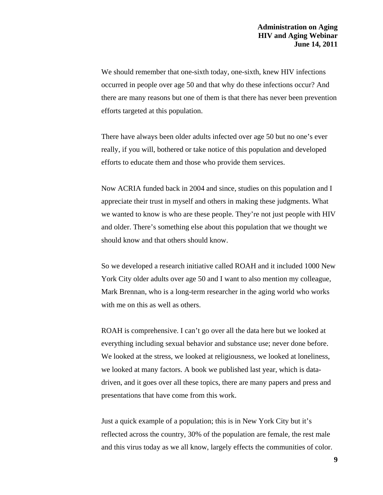We should remember that one-sixth today, one-sixth, knew HIV infections occurred in people over age 50 and that why do these infections occur? And there are many reasons but one of them is that there has never been prevention efforts targeted at this population.

There have always been older adults infected over age 50 but no one's ever really, if you will, bothered or take notice of this population and developed efforts to educate them and those who provide them services.

Now ACRIA funded back in 2004 and since, studies on this population and I appreciate their trust in myself and others in making these judgments. What we wanted to know is who are these people. They're not just people with HIV and older. There's something else about this population that we thought we should know and that others should know.

So we developed a research initiative called ROAH and it included 1000 New York City older adults over age 50 and I want to also mention my colleague, Mark Brennan, who is a long-term researcher in the aging world who works with me on this as well as others.

ROAH is comprehensive. I can't go over all the data here but we looked at everything including sexual behavior and substance use; never done before. We looked at the stress, we looked at religiousness, we looked at loneliness, we looked at many factors. A book we published last year, which is datadriven, and it goes over all these topics, there are many papers and press and presentations that have come from this work.

Just a quick example of a population; this is in New York City but it's reflected across the country, 30% of the population are female, the rest male and this virus today as we all know, largely effects the communities of color.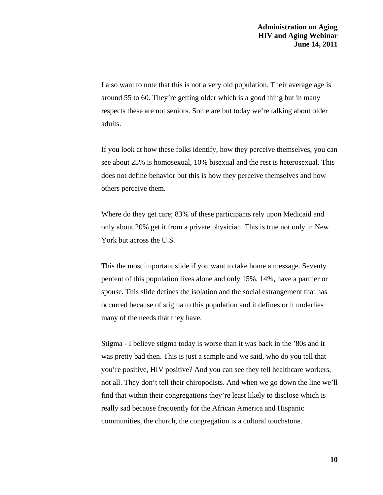I also want to note that this is not a very old population. Their average age is around 55 to 60. They're getting older which is a good thing but in many respects these are not seniors. Some are but today we're talking about older adults.

If you look at how these folks identify, how they perceive themselves, you can see about 25% is homosexual, 10% bisexual and the rest is heterosexual. This does not define behavior but this is how they perceive themselves and how others perceive them.

Where do they get care; 83% of these participants rely upon Medicaid and only about 20% get it from a private physician. This is true not only in New York but across the U.S.

This the most important slide if you want to take home a message. Seventy percent of this population lives alone and only 15%, 14%, have a partner or spouse. This slide defines the isolation and the social estrangement that has occurred because of stigma to this population and it defines or it underlies many of the needs that they have.

Stigma - I believe stigma today is worse than it was back in the '80s and it was pretty bad then. This is just a sample and we said, who do you tell that you're positive, HIV positive? And you can see they tell healthcare workers, not all. They don't tell their chiropodists. And when we go down the line we'll find that within their congregations they're least likely to disclose which is really sad because frequently for the African America and Hispanic communities, the church, the congregation is a cultural touchstone.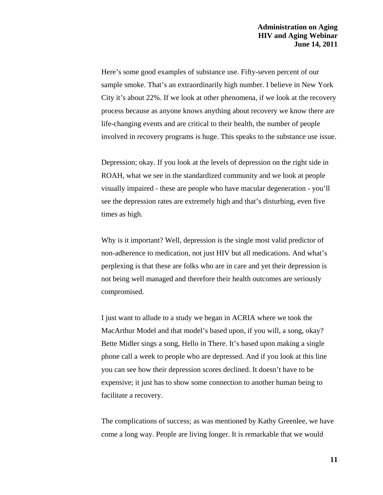Here's some good examples of substance use. Fifty-seven percent of our sample smoke. That's an extraordinarily high number. I believe in New York City it's about 22%. If we look at other phenomena, if we look at the recovery process because as anyone knows anything about recovery we know there are life-changing events and are critical to their health, the number of people involved in recovery programs is huge. This speaks to the substance use issue.

Depression; okay. If you look at the levels of depression on the right side in ROAH, what we see in the standardized community and we look at people visually impaired - these are people who have macular degeneration - you'll see the depression rates are extremely high and that's disturbing, even five times as high.

Why is it important? Well, depression is the single most valid predictor of non-adherence to medication, not just HIV but all medications. And what's perplexing is that these are folks who are in care and yet their depression is not being well managed and therefore their health outcomes are seriously compromised.

I just want to allude to a study we began in ACRIA where we took the MacArthur Model and that model's based upon, if you will, a song, okay? Bette Midler sings a song, Hello in There. It's based upon making a single phone call a week to people who are depressed. And if you look at this line you can see how their depression scores declined. It doesn't have to be expensive; it just has to show some connection to another human being to facilitate a recovery.

The complications of success; as was mentioned by Kathy Greenlee, we have come a long way. People are living longer. It is remarkable that we would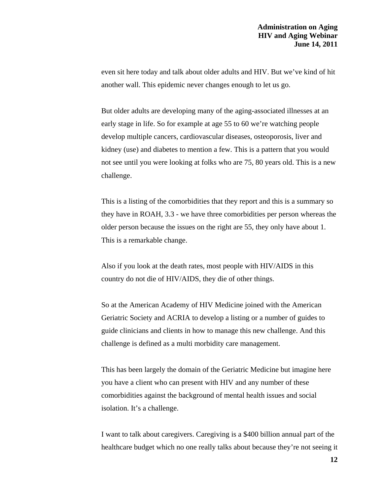even sit here today and talk about older adults and HIV. But we've kind of hit another wall. This epidemic never changes enough to let us go.

But older adults are developing many of the aging-associated illnesses at an early stage in life. So for example at age 55 to 60 we're watching people develop multiple cancers, cardiovascular diseases, osteoporosis, liver and kidney (use) and diabetes to mention a few. This is a pattern that you would not see until you were looking at folks who are 75, 80 years old. This is a new challenge.

This is a listing of the comorbidities that they report and this is a summary so they have in ROAH, 3.3 - we have three comorbidities per person whereas the older person because the issues on the right are 55, they only have about 1. This is a remarkable change.

Also if you look at the death rates, most people with HIV/AIDS in this country do not die of HIV/AIDS, they die of other things.

So at the American Academy of HIV Medicine joined with the American Geriatric Society and ACRIA to develop a listing or a number of guides to guide clinicians and clients in how to manage this new challenge. And this challenge is defined as a multi morbidity care management.

This has been largely the domain of the Geriatric Medicine but imagine here you have a client who can present with HIV and any number of these comorbidities against the background of mental health issues and social isolation. It's a challenge.

I want to talk about caregivers. Caregiving is a \$400 billion annual part of the healthcare budget which no one really talks about because they're not seeing it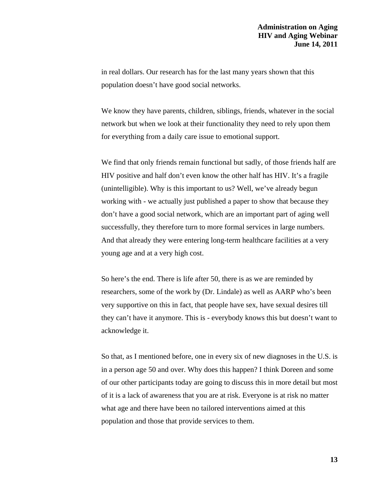in real dollars. Our research has for the last many years shown that this population doesn't have good social networks.

We know they have parents, children, siblings, friends, whatever in the social network but when we look at their functionality they need to rely upon them for everything from a daily care issue to emotional support.

We find that only friends remain functional but sadly, of those friends half are HIV positive and half don't even know the other half has HIV. It's a fragile (unintelligible). Why is this important to us? Well, we've already begun working with - we actually just published a paper to show that because they don't have a good social network, which are an important part of aging well successfully, they therefore turn to more formal services in large numbers. And that already they were entering long-term healthcare facilities at a very young age and at a very high cost.

So here's the end. There is life after 50, there is as we are reminded by researchers, some of the work by (Dr. Lindale) as well as AARP who's been very supportive on this in fact, that people have sex, have sexual desires till they can't have it anymore. This is - everybody knows this but doesn't want to acknowledge it.

So that, as I mentioned before, one in every six of new diagnoses in the U.S. is in a person age 50 and over. Why does this happen? I think Doreen and some of our other participants today are going to discuss this in more detail but most of it is a lack of awareness that you are at risk. Everyone is at risk no matter what age and there have been no tailored interventions aimed at this population and those that provide services to them.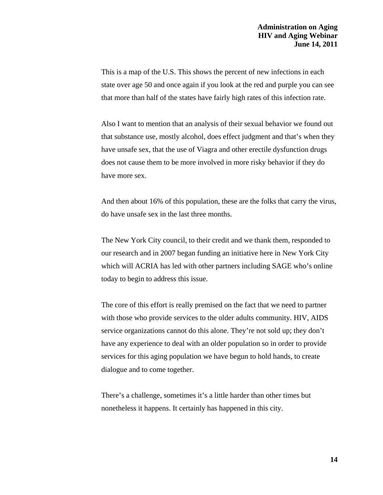This is a map of the U.S. This shows the percent of new infections in each state over age 50 and once again if you look at the red and purple you can see that more than half of the states have fairly high rates of this infection rate.

Also I want to mention that an analysis of their sexual behavior we found out that substance use, mostly alcohol, does effect judgment and that's when they have unsafe sex, that the use of Viagra and other erectile dysfunction drugs does not cause them to be more involved in more risky behavior if they do have more sex.

And then about 16% of this population, these are the folks that carry the virus, do have unsafe sex in the last three months.

The New York City council, to their credit and we thank them, responded to our research and in 2007 began funding an initiative here in New York City which will ACRIA has led with other partners including SAGE who's online today to begin to address this issue.

The core of this effort is really premised on the fact that we need to partner with those who provide services to the older adults community. HIV, AIDS service organizations cannot do this alone. They're not sold up; they don't have any experience to deal with an older population so in order to provide services for this aging population we have begun to hold hands, to create dialogue and to come together.

There's a challenge, sometimes it's a little harder than other times but nonetheless it happens. It certainly has happened in this city.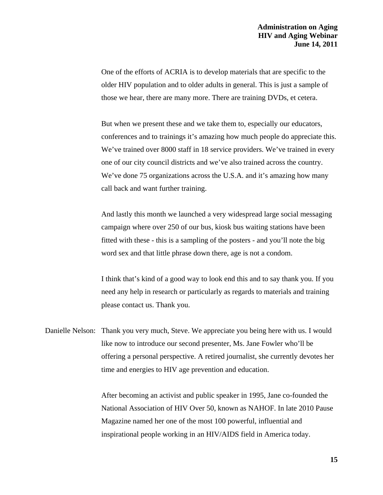One of the efforts of ACRIA is to develop materials that are specific to the older HIV population and to older adults in general. This is just a sample of those we hear, there are many more. There are training DVDs, et cetera.

But when we present these and we take them to, especially our educators, conferences and to trainings it's amazing how much people do appreciate this. We've trained over 8000 staff in 18 service providers. We've trained in every one of our city council districts and we've also trained across the country. We've done 75 organizations across the U.S.A. and it's amazing how many call back and want further training.

And lastly this month we launched a very widespread large social messaging campaign where over 250 of our bus, kiosk bus waiting stations have been fitted with these - this is a sampling of the posters - and you'll note the big word sex and that little phrase down there, age is not a condom.

I think that's kind of a good way to look end this and to say thank you. If you need any help in research or particularly as regards to materials and training please contact us. Thank you.

Danielle Nelson: Thank you very much, Steve. We appreciate you being here with us. I would like now to introduce our second presenter, Ms. Jane Fowler who'll be offering a personal perspective. A retired journalist, she currently devotes her time and energies to HIV age prevention and education.

> After becoming an activist and public speaker in 1995, Jane co-founded the National Association of HIV Over 50, known as NAHOF. In late 2010 Pause Magazine named her one of the most 100 powerful, influential and inspirational people working in an HIV/AIDS field in America today.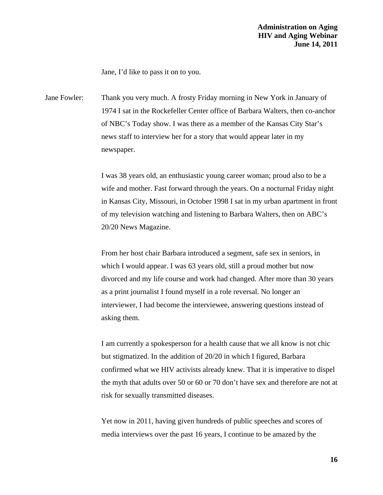Jane, I'd like to pass it on to you.

Jane Fowler: Thank you very much. A frosty Friday morning in New York in January of 1974 I sat in the Rockefeller Center office of Barbara Walters, then co-anchor of NBC's Today show. I was there as a member of the Kansas City Star's news staff to interview her for a story that would appear later in my newspaper.

> I was 38 years old, an enthusiastic young career woman; proud also to be a wife and mother. Fast forward through the years. On a nocturnal Friday night in Kansas City, Missouri, in October 1998 I sat in my urban apartment in front of my television watching and listening to Barbara Walters, then on ABC's 20/20 News Magazine.

From her host chair Barbara introduced a segment, safe sex in seniors, in which I would appear. I was 63 years old, still a proud mother but now divorced and my life course and work had changed. After more than 30 years as a print journalist I found myself in a role reversal. No longer an interviewer, I had become the interviewee, answering questions instead of asking them.

I am currently a spokesperson for a health cause that we all know is not chic but stigmatized. In the addition of 20/20 in which I figured, Barbara confirmed what we HIV activists already knew. That it is imperative to dispel the myth that adults over 50 or 60 or 70 don't have sex and therefore are not at risk for sexually transmitted diseases.

Yet now in 2011, having given hundreds of public speeches and scores of media interviews over the past 16 years, I continue to be amazed by the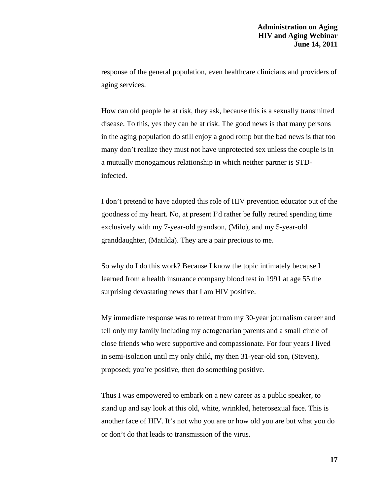response of the general population, even healthcare clinicians and providers of aging services.

How can old people be at risk, they ask, because this is a sexually transmitted disease. To this, yes they can be at risk. The good news is that many persons in the aging population do still enjoy a good romp but the bad news is that too many don't realize they must not have unprotected sex unless the couple is in a mutually monogamous relationship in which neither partner is STDinfected.

I don't pretend to have adopted this role of HIV prevention educator out of the goodness of my heart. No, at present I'd rather be fully retired spending time exclusively with my 7-year-old grandson, (Milo), and my 5-year-old granddaughter, (Matilda). They are a pair precious to me.

So why do I do this work? Because I know the topic intimately because I learned from a health insurance company blood test in 1991 at age 55 the surprising devastating news that I am HIV positive.

My immediate response was to retreat from my 30-year journalism career and tell only my family including my octogenarian parents and a small circle of close friends who were supportive and compassionate. For four years I lived in semi-isolation until my only child, my then 31-year-old son, (Steven), proposed; you're positive, then do something positive.

Thus I was empowered to embark on a new career as a public speaker, to stand up and say look at this old, white, wrinkled, heterosexual face. This is another face of HIV. It's not who you are or how old you are but what you do or don't do that leads to transmission of the virus.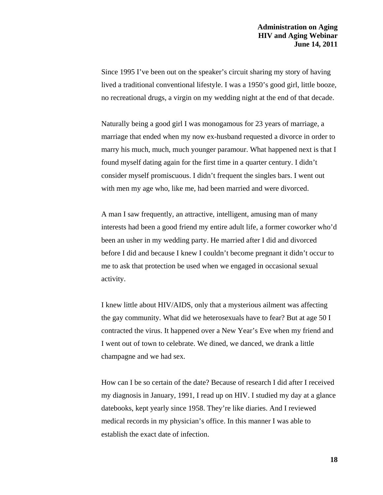Since 1995 I've been out on the speaker's circuit sharing my story of having lived a traditional conventional lifestyle. I was a 1950's good girl, little booze, no recreational drugs, a virgin on my wedding night at the end of that decade.

Naturally being a good girl I was monogamous for 23 years of marriage, a marriage that ended when my now ex-husband requested a divorce in order to marry his much, much, much younger paramour. What happened next is that I found myself dating again for the first time in a quarter century. I didn't consider myself promiscuous. I didn't frequent the singles bars. I went out with men my age who, like me, had been married and were divorced.

A man I saw frequently, an attractive, intelligent, amusing man of many interests had been a good friend my entire adult life, a former coworker who'd been an usher in my wedding party. He married after I did and divorced before I did and because I knew I couldn't become pregnant it didn't occur to me to ask that protection be used when we engaged in occasional sexual activity.

I knew little about HIV/AIDS, only that a mysterious ailment was affecting the gay community. What did we heterosexuals have to fear? But at age 50 I contracted the virus. It happened over a New Year's Eve when my friend and I went out of town to celebrate. We dined, we danced, we drank a little champagne and we had sex.

How can I be so certain of the date? Because of research I did after I received my diagnosis in January, 1991, I read up on HIV. I studied my day at a glance datebooks, kept yearly since 1958. They're like diaries. And I reviewed medical records in my physician's office. In this manner I was able to establish the exact date of infection.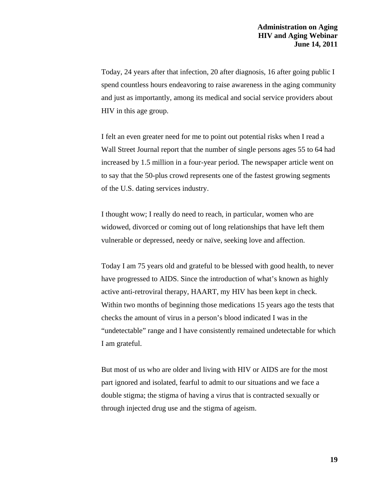Today, 24 years after that infection, 20 after diagnosis, 16 after going public I spend countless hours endeavoring to raise awareness in the aging community and just as importantly, among its medical and social service providers about HIV in this age group.

I felt an even greater need for me to point out potential risks when I read a Wall Street Journal report that the number of single persons ages 55 to 64 had increased by 1.5 million in a four-year period. The newspaper article went on to say that the 50-plus crowd represents one of the fastest growing segments of the U.S. dating services industry.

I thought wow; I really do need to reach, in particular, women who are widowed, divorced or coming out of long relationships that have left them vulnerable or depressed, needy or naïve, seeking love and affection.

Today I am 75 years old and grateful to be blessed with good health, to never have progressed to AIDS. Since the introduction of what's known as highly active anti-retroviral therapy, HAART, my HIV has been kept in check. Within two months of beginning those medications 15 years ago the tests that checks the amount of virus in a person's blood indicated I was in the "undetectable" range and I have consistently remained undetectable for which I am grateful.

But most of us who are older and living with HIV or AIDS are for the most part ignored and isolated, fearful to admit to our situations and we face a double stigma; the stigma of having a virus that is contracted sexually or through injected drug use and the stigma of ageism.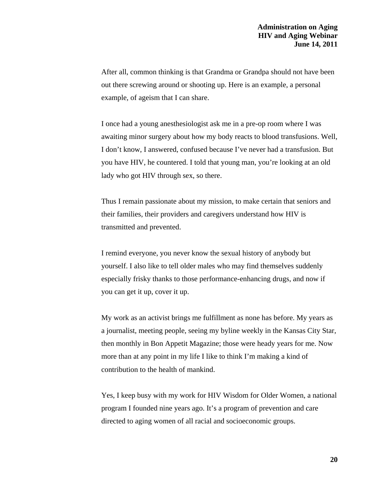After all, common thinking is that Grandma or Grandpa should not have been out there screwing around or shooting up. Here is an example, a personal example, of ageism that I can share.

I once had a young anesthesiologist ask me in a pre-op room where I was awaiting minor surgery about how my body reacts to blood transfusions. Well, I don't know, I answered, confused because I've never had a transfusion. But you have HIV, he countered. I told that young man, you're looking at an old lady who got HIV through sex, so there.

Thus I remain passionate about my mission, to make certain that seniors and their families, their providers and caregivers understand how HIV is transmitted and prevented.

I remind everyone, you never know the sexual history of anybody but yourself. I also like to tell older males who may find themselves suddenly especially frisky thanks to those performance-enhancing drugs, and now if you can get it up, cover it up.

My work as an activist brings me fulfillment as none has before. My years as a journalist, meeting people, seeing my byline weekly in the Kansas City Star, then monthly in Bon Appetit Magazine; those were heady years for me. Now more than at any point in my life I like to think I'm making a kind of contribution to the health of mankind.

Yes, I keep busy with my work for HIV Wisdom for Older Women, a national program I founded nine years ago. It's a program of prevention and care directed to aging women of all racial and socioeconomic groups.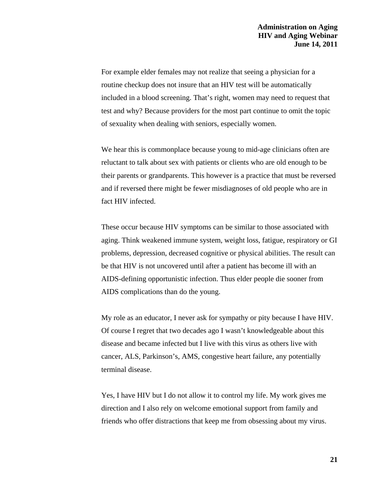For example elder females may not realize that seeing a physician for a routine checkup does not insure that an HIV test will be automatically included in a blood screening. That's right, women may need to request that test and why? Because providers for the most part continue to omit the topic of sexuality when dealing with seniors, especially women.

We hear this is commonplace because young to mid-age clinicians often are reluctant to talk about sex with patients or clients who are old enough to be their parents or grandparents. This however is a practice that must be reversed and if reversed there might be fewer misdiagnoses of old people who are in fact HIV infected.

These occur because HIV symptoms can be similar to those associated with aging. Think weakened immune system, weight loss, fatigue, respiratory or GI problems, depression, decreased cognitive or physical abilities. The result can be that HIV is not uncovered until after a patient has become ill with an AIDS-defining opportunistic infection. Thus elder people die sooner from AIDS complications than do the young.

My role as an educator, I never ask for sympathy or pity because I have HIV. Of course I regret that two decades ago I wasn't knowledgeable about this disease and became infected but I live with this virus as others live with cancer, ALS, Parkinson's, AMS, congestive heart failure, any potentially terminal disease.

Yes, I have HIV but I do not allow it to control my life. My work gives me direction and I also rely on welcome emotional support from family and friends who offer distractions that keep me from obsessing about my virus.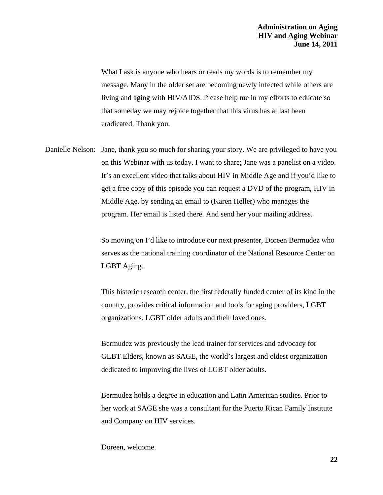What I ask is anyone who hears or reads my words is to remember my message. Many in the older set are becoming newly infected while others are living and aging with HIV/AIDS. Please help me in my efforts to educate so that someday we may rejoice together that this virus has at last been eradicated. Thank you.

Danielle Nelson: Jane, thank you so much for sharing your story. We are privileged to have you on this Webinar with us today. I want to share; Jane was a panelist on a video. It's an excellent video that talks about HIV in Middle Age and if you'd like to get a free copy of this episode you can request a DVD of the program, HIV in Middle Age, by sending an email to (Karen Heller) who manages the program. Her email is listed there. And send her your mailing address.

> So moving on I'd like to introduce our next presenter, Doreen Bermudez who serves as the national training coordinator of the National Resource Center on LGBT Aging.

> This historic research center, the first federally funded center of its kind in the country, provides critical information and tools for aging providers, LGBT organizations, LGBT older adults and their loved ones.

Bermudez was previously the lead trainer for services and advocacy for GLBT Elders, known as SAGE, the world's largest and oldest organization dedicated to improving the lives of LGBT older adults.

Bermudez holds a degree in education and Latin American studies. Prior to her work at SAGE she was a consultant for the Puerto Rican Family Institute and Company on HIV services.

Doreen, welcome.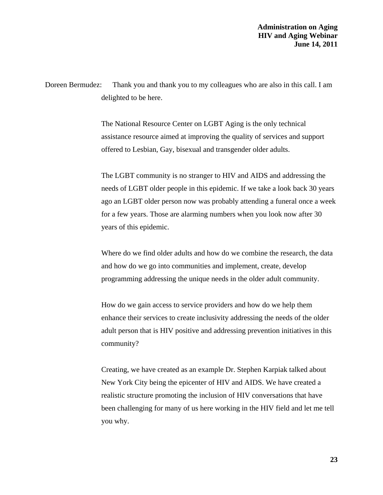Doreen Bermudez: Thank you and thank you to my colleagues who are also in this call. I am delighted to be here.

> The National Resource Center on LGBT Aging is the only technical assistance resource aimed at improving the quality of services and support offered to Lesbian, Gay, bisexual and transgender older adults.

The LGBT community is no stranger to HIV and AIDS and addressing the needs of LGBT older people in this epidemic. If we take a look back 30 years ago an LGBT older person now was probably attending a funeral once a week for a few years. Those are alarming numbers when you look now after 30 years of this epidemic.

Where do we find older adults and how do we combine the research, the data and how do we go into communities and implement, create, develop programming addressing the unique needs in the older adult community.

How do we gain access to service providers and how do we help them enhance their services to create inclusivity addressing the needs of the older adult person that is HIV positive and addressing prevention initiatives in this community?

Creating, we have created as an example Dr. Stephen Karpiak talked about New York City being the epicenter of HIV and AIDS. We have created a realistic structure promoting the inclusion of HIV conversations that have been challenging for many of us here working in the HIV field and let me tell you why.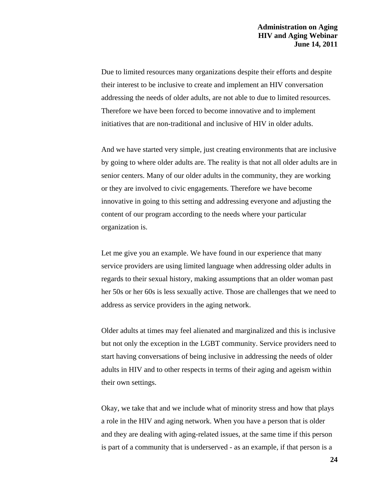Due to limited resources many organizations despite their efforts and despite their interest to be inclusive to create and implement an HIV conversation addressing the needs of older adults, are not able to due to limited resources. Therefore we have been forced to become innovative and to implement initiatives that are non-traditional and inclusive of HIV in older adults.

And we have started very simple, just creating environments that are inclusive by going to where older adults are. The reality is that not all older adults are in senior centers. Many of our older adults in the community, they are working or they are involved to civic engagements. Therefore we have become innovative in going to this setting and addressing everyone and adjusting the content of our program according to the needs where your particular organization is.

Let me give you an example. We have found in our experience that many service providers are using limited language when addressing older adults in regards to their sexual history, making assumptions that an older woman past her 50s or her 60s is less sexually active. Those are challenges that we need to address as service providers in the aging network.

Older adults at times may feel alienated and marginalized and this is inclusive but not only the exception in the LGBT community. Service providers need to start having conversations of being inclusive in addressing the needs of older adults in HIV and to other respects in terms of their aging and ageism within their own settings.

Okay, we take that and we include what of minority stress and how that plays a role in the HIV and aging network. When you have a person that is older and they are dealing with aging-related issues, at the same time if this person is part of a community that is underserved - as an example, if that person is a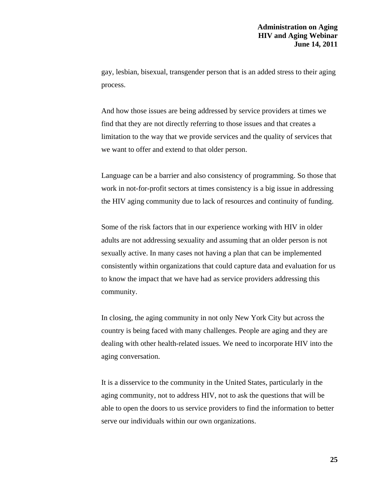gay, lesbian, bisexual, transgender person that is an added stress to their aging process.

And how those issues are being addressed by service providers at times we find that they are not directly referring to those issues and that creates a limitation to the way that we provide services and the quality of services that we want to offer and extend to that older person.

Language can be a barrier and also consistency of programming. So those that work in not-for-profit sectors at times consistency is a big issue in addressing the HIV aging community due to lack of resources and continuity of funding.

Some of the risk factors that in our experience working with HIV in older adults are not addressing sexuality and assuming that an older person is not sexually active. In many cases not having a plan that can be implemented consistently within organizations that could capture data and evaluation for us to know the impact that we have had as service providers addressing this community.

In closing, the aging community in not only New York City but across the country is being faced with many challenges. People are aging and they are dealing with other health-related issues. We need to incorporate HIV into the aging conversation.

It is a disservice to the community in the United States, particularly in the aging community, not to address HIV, not to ask the questions that will be able to open the doors to us service providers to find the information to better serve our individuals within our own organizations.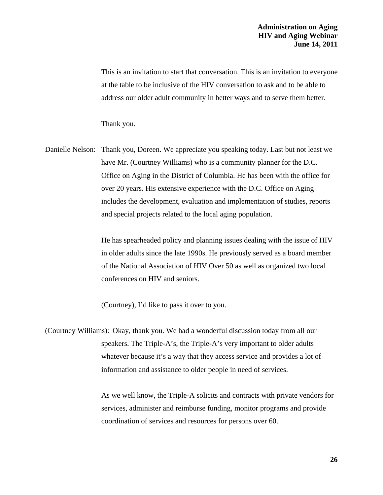This is an invitation to start that conversation. This is an invitation to everyone at the table to be inclusive of the HIV conversation to ask and to be able to address our older adult community in better ways and to serve them better.

Thank you.

Danielle Nelson: Thank you, Doreen. We appreciate you speaking today. Last but not least we have Mr. (Courtney Williams) who is a community planner for the D.C. Office on Aging in the District of Columbia. He has been with the office for over 20 years. His extensive experience with the D.C. Office on Aging includes the development, evaluation and implementation of studies, reports and special projects related to the local aging population.

> He has spearheaded policy and planning issues dealing with the issue of HIV in older adults since the late 1990s. He previously served as a board member of the National Association of HIV Over 50 as well as organized two local conferences on HIV and seniors.

(Courtney), I'd like to pass it over to you.

(Courtney Williams): Okay, thank you. We had a wonderful discussion today from all our speakers. The Triple-A's, the Triple-A's very important to older adults whatever because it's a way that they access service and provides a lot of information and assistance to older people in need of services.

> As we well know, the Triple-A solicits and contracts with private vendors for services, administer and reimburse funding, monitor programs and provide coordination of services and resources for persons over 60.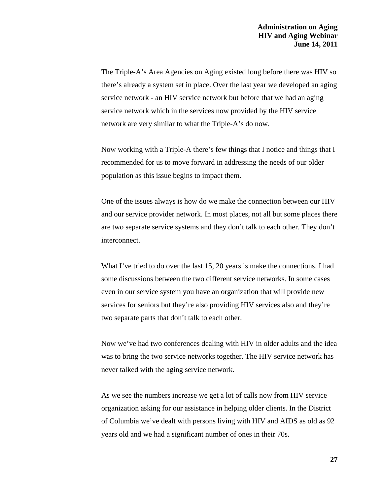The Triple-A's Area Agencies on Aging existed long before there was HIV so there's already a system set in place. Over the last year we developed an aging service network - an HIV service network but before that we had an aging service network which in the services now provided by the HIV service network are very similar to what the Triple-A's do now.

Now working with a Triple-A there's few things that I notice and things that I recommended for us to move forward in addressing the needs of our older population as this issue begins to impact them.

One of the issues always is how do we make the connection between our HIV and our service provider network. In most places, not all but some places there are two separate service systems and they don't talk to each other. They don't interconnect.

What I've tried to do over the last 15, 20 years is make the connections. I had some discussions between the two different service networks. In some cases even in our service system you have an organization that will provide new services for seniors but they're also providing HIV services also and they're two separate parts that don't talk to each other.

Now we've had two conferences dealing with HIV in older adults and the idea was to bring the two service networks together. The HIV service network has never talked with the aging service network.

As we see the numbers increase we get a lot of calls now from HIV service organization asking for our assistance in helping older clients. In the District of Columbia we've dealt with persons living with HIV and AIDS as old as 92 years old and we had a significant number of ones in their 70s.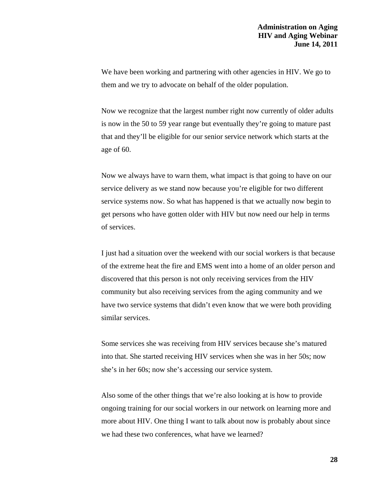We have been working and partnering with other agencies in HIV. We go to them and we try to advocate on behalf of the older population.

Now we recognize that the largest number right now currently of older adults is now in the 50 to 59 year range but eventually they're going to mature past that and they'll be eligible for our senior service network which starts at the age of 60.

Now we always have to warn them, what impact is that going to have on our service delivery as we stand now because you're eligible for two different service systems now. So what has happened is that we actually now begin to get persons who have gotten older with HIV but now need our help in terms of services.

I just had a situation over the weekend with our social workers is that because of the extreme heat the fire and EMS went into a home of an older person and discovered that this person is not only receiving services from the HIV community but also receiving services from the aging community and we have two service systems that didn't even know that we were both providing similar services.

Some services she was receiving from HIV services because she's matured into that. She started receiving HIV services when she was in her 50s; now she's in her 60s; now she's accessing our service system.

Also some of the other things that we're also looking at is how to provide ongoing training for our social workers in our network on learning more and more about HIV. One thing I want to talk about now is probably about since we had these two conferences, what have we learned?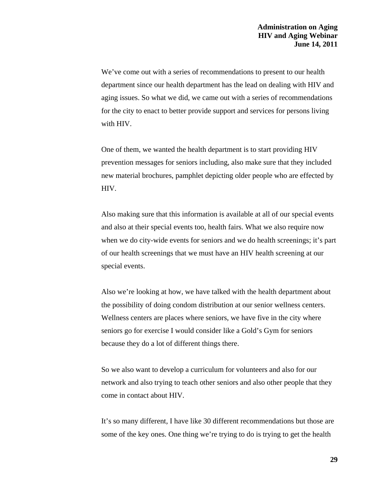We've come out with a series of recommendations to present to our health department since our health department has the lead on dealing with HIV and aging issues. So what we did, we came out with a series of recommendations for the city to enact to better provide support and services for persons living with HIV.

One of them, we wanted the health department is to start providing HIV prevention messages for seniors including, also make sure that they included new material brochures, pamphlet depicting older people who are effected by HIV.

Also making sure that this information is available at all of our special events and also at their special events too, health fairs. What we also require now when we do city-wide events for seniors and we do health screenings; it's part of our health screenings that we must have an HIV health screening at our special events.

Also we're looking at how, we have talked with the health department about the possibility of doing condom distribution at our senior wellness centers. Wellness centers are places where seniors, we have five in the city where seniors go for exercise I would consider like a Gold's Gym for seniors because they do a lot of different things there.

So we also want to develop a curriculum for volunteers and also for our network and also trying to teach other seniors and also other people that they come in contact about HIV.

It's so many different, I have like 30 different recommendations but those are some of the key ones. One thing we're trying to do is trying to get the health

**29**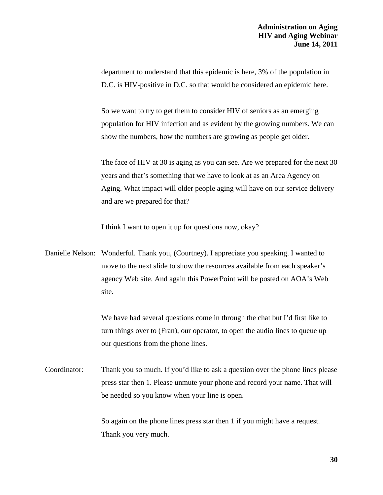department to understand that this epidemic is here, 3% of the population in D.C. is HIV-positive in D.C. so that would be considered an epidemic here.

So we want to try to get them to consider HIV of seniors as an emerging population for HIV infection and as evident by the growing numbers. We can show the numbers, how the numbers are growing as people get older.

The face of HIV at 30 is aging as you can see. Are we prepared for the next 30 years and that's something that we have to look at as an Area Agency on Aging. What impact will older people aging will have on our service delivery and are we prepared for that?

I think I want to open it up for questions now, okay?

Danielle Nelson: Wonderful. Thank you, (Courtney). I appreciate you speaking. I wanted to move to the next slide to show the resources available from each speaker's agency Web site. And again this PowerPoint will be posted on AOA's Web site.

> We have had several questions come in through the chat but I'd first like to turn things over to (Fran), our operator, to open the audio lines to queue up our questions from the phone lines.

Coordinator: Thank you so much. If you'd like to ask a question over the phone lines please press star then 1. Please unmute your phone and record your name. That will be needed so you know when your line is open.

> So again on the phone lines press star then 1 if you might have a request. Thank you very much.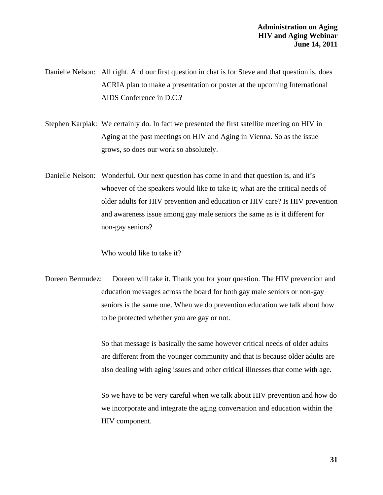Danielle Nelson: All right. And our first question in chat is for Steve and that question is, does ACRIA plan to make a presentation or poster at the upcoming International AIDS Conference in D.C.?

Stephen Karpiak: We certainly do. In fact we presented the first satellite meeting on HIV in Aging at the past meetings on HIV and Aging in Vienna. So as the issue grows, so does our work so absolutely.

Danielle Nelson: Wonderful. Our next question has come in and that question is, and it's whoever of the speakers would like to take it; what are the critical needs of older adults for HIV prevention and education or HIV care? Is HIV prevention and awareness issue among gay male seniors the same as is it different for non-gay seniors?

Who would like to take it?

Doreen Bermudez: Doreen will take it. Thank you for your question. The HIV prevention and education messages across the board for both gay male seniors or non-gay seniors is the same one. When we do prevention education we talk about how to be protected whether you are gay or not.

> So that message is basically the same however critical needs of older adults are different from the younger community and that is because older adults are also dealing with aging issues and other critical illnesses that come with age.

> So we have to be very careful when we talk about HIV prevention and how do we incorporate and integrate the aging conversation and education within the HIV component.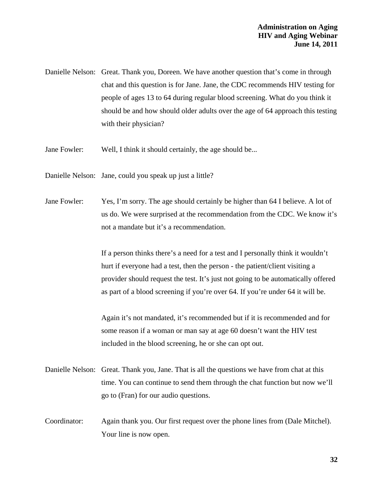Danielle Nelson: Great. Thank you, Doreen. We have another question that's come in through chat and this question is for Jane. Jane, the CDC recommends HIV testing for people of ages 13 to 64 during regular blood screening. What do you think it should be and how should older adults over the age of 64 approach this testing with their physician?

Jane Fowler: Well, I think it should certainly, the age should be...

Danielle Nelson: Jane, could you speak up just a little?

Jane Fowler: Yes, I'm sorry. The age should certainly be higher than 64 I believe. A lot of us do. We were surprised at the recommendation from the CDC. We know it's not a mandate but it's a recommendation.

> If a person thinks there's a need for a test and I personally think it wouldn't hurt if everyone had a test, then the person - the patient/client visiting a provider should request the test. It's just not going to be automatically offered as part of a blood screening if you're over 64. If you're under 64 it will be.

Again it's not mandated, it's recommended but if it is recommended and for some reason if a woman or man say at age 60 doesn't want the HIV test included in the blood screening, he or she can opt out.

- Danielle Nelson: Great. Thank you, Jane. That is all the questions we have from chat at this time. You can continue to send them through the chat function but now we'll go to (Fran) for our audio questions.
- Coordinator: Again thank you. Our first request over the phone lines from (Dale Mitchel). Your line is now open.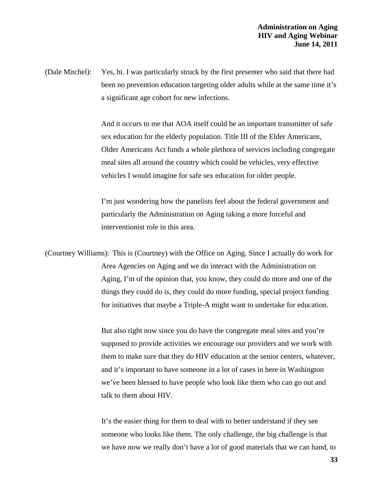(Dale Mitchel): Yes, hi. I was particularly struck by the first presenter who said that there had been no prevention education targeting older adults while at the same time it's a significant age cohort for new infections.

> And it occurs to me that AOA itself could be an important transmitter of safe sex education for the elderly population. Title III of the Elder Americans, Older Americans Act funds a whole plethora of services including congregate meal sites all around the country which could be vehicles, very effective vehicles I would imagine for safe sex education for older people.

I'm just wondering how the panelists feel about the federal government and particularly the Administration on Aging taking a more forceful and interventionist role in this area.

(Courtney Williams): This is (Courtney) with the Office on Aging. Since I actually do work for Area Agencies on Aging and we do interact with the Administration on Aging, I'm of the opinion that, you know, they could do more and one of the things they could do is, they could do more funding, special project funding for initiatives that maybe a Triple-A might want to undertake for education.

> But also right now since you do have the congregate meal sites and you're supposed to provide activities we encourage our providers and we work with them to make sure that they do HIV education at the senior centers, whatever, and it's important to have someone in a lot of cases in here in Washington we've been blessed to have people who look like them who can go out and talk to them about HIV.

> It's the easier thing for them to deal with to better understand if they see someone who looks like them. The only challenge, the big challenge is that we have now we really don't have a lot of good materials that we can hand, to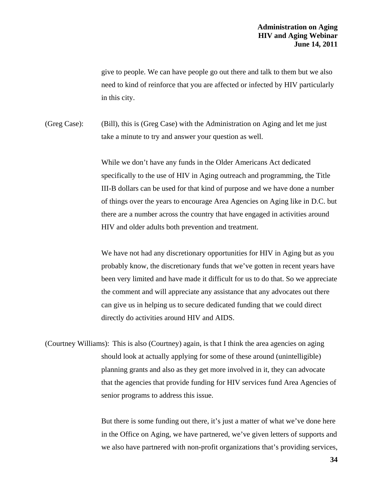give to people. We can have people go out there and talk to them but we also need to kind of reinforce that you are affected or infected by HIV particularly in this city.

(Greg Case): (Bill), this is (Greg Case) with the Administration on Aging and let me just take a minute to try and answer your question as well.

> While we don't have any funds in the Older Americans Act dedicated specifically to the use of HIV in Aging outreach and programming, the Title III-B dollars can be used for that kind of purpose and we have done a number of things over the years to encourage Area Agencies on Aging like in D.C. but there are a number across the country that have engaged in activities around HIV and older adults both prevention and treatment.

> We have not had any discretionary opportunities for HIV in Aging but as you probably know, the discretionary funds that we've gotten in recent years have been very limited and have made it difficult for us to do that. So we appreciate the comment and will appreciate any assistance that any advocates out there can give us in helping us to secure dedicated funding that we could direct directly do activities around HIV and AIDS.

(Courtney Williams): This is also (Courtney) again, is that I think the area agencies on aging should look at actually applying for some of these around (unintelligible) planning grants and also as they get more involved in it, they can advocate that the agencies that provide funding for HIV services fund Area Agencies of senior programs to address this issue.

> But there is some funding out there, it's just a matter of what we've done here in the Office on Aging, we have partnered, we've given letters of supports and we also have partnered with non-profit organizations that's providing services,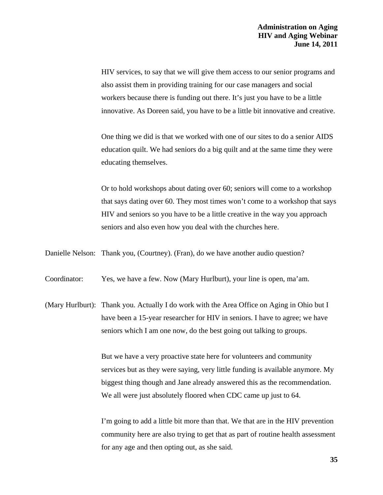HIV services, to say that we will give them access to our senior programs and also assist them in providing training for our case managers and social workers because there is funding out there. It's just you have to be a little innovative. As Doreen said, you have to be a little bit innovative and creative.

One thing we did is that we worked with one of our sites to do a senior AIDS education quilt. We had seniors do a big quilt and at the same time they were educating themselves.

Or to hold workshops about dating over 60; seniors will come to a workshop that says dating over 60. They most times won't come to a workshop that says HIV and seniors so you have to be a little creative in the way you approach seniors and also even how you deal with the churches here.

Danielle Nelson: Thank you, (Courtney). (Fran), do we have another audio question?

Coordinator: Yes, we have a few. Now (Mary Hurlburt), your line is open, ma'am.

(Mary Hurlburt): Thank you. Actually I do work with the Area Office on Aging in Ohio but I have been a 15-year researcher for HIV in seniors. I have to agree; we have seniors which I am one now, do the best going out talking to groups.

> But we have a very proactive state here for volunteers and community services but as they were saying, very little funding is available anymore. My biggest thing though and Jane already answered this as the recommendation. We all were just absolutely floored when CDC came up just to 64.

> I'm going to add a little bit more than that. We that are in the HIV prevention community here are also trying to get that as part of routine health assessment for any age and then opting out, as she said.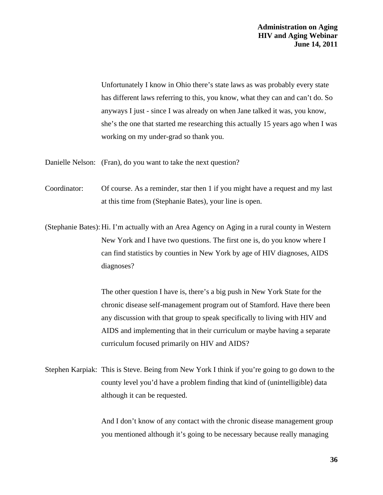Unfortunately I know in Ohio there's state laws as was probably every state has different laws referring to this, you know, what they can and can't do. So anyways I just - since I was already on when Jane talked it was, you know, she's the one that started me researching this actually 15 years ago when I was working on my under-grad so thank you.

Danielle Nelson: (Fran), do you want to take the next question?

Coordinator: Of course. As a reminder, star then 1 if you might have a request and my last at this time from (Stephanie Bates), your line is open.

(Stephanie Bates): Hi. I'm actually with an Area Agency on Aging in a rural county in Western New York and I have two questions. The first one is, do you know where I can find statistics by counties in New York by age of HIV diagnoses, AIDS diagnoses?

> The other question I have is, there's a big push in New York State for the chronic disease self-management program out of Stamford. Have there been any discussion with that group to speak specifically to living with HIV and AIDS and implementing that in their curriculum or maybe having a separate curriculum focused primarily on HIV and AIDS?

Stephen Karpiak: This is Steve. Being from New York I think if you're going to go down to the county level you'd have a problem finding that kind of (unintelligible) data although it can be requested.

> And I don't know of any contact with the chronic disease management group you mentioned although it's going to be necessary because really managing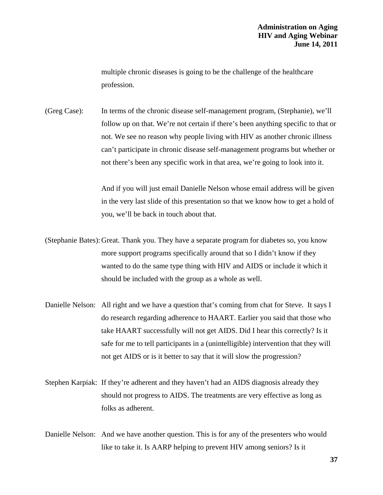multiple chronic diseases is going to be the challenge of the healthcare profession.

(Greg Case): In terms of the chronic disease self-management program, (Stephanie), we'll follow up on that. We're not certain if there's been anything specific to that or not. We see no reason why people living with HIV as another chronic illness can't participate in chronic disease self-management programs but whether or not there's been any specific work in that area, we're going to look into it.

> And if you will just email Danielle Nelson whose email address will be given in the very last slide of this presentation so that we know how to get a hold of you, we'll be back in touch about that.

(Stephanie Bates): Great. Thank you. They have a separate program for diabetes so, you know more support programs specifically around that so I didn't know if they wanted to do the same type thing with HIV and AIDS or include it which it should be included with the group as a whole as well.

- Danielle Nelson: All right and we have a question that's coming from chat for Steve. It says I do research regarding adherence to HAART. Earlier you said that those who take HAART successfully will not get AIDS. Did I hear this correctly? Is it safe for me to tell participants in a (unintelligible) intervention that they will not get AIDS or is it better to say that it will slow the progression?
- Stephen Karpiak: If they're adherent and they haven't had an AIDS diagnosis already they should not progress to AIDS. The treatments are very effective as long as folks as adherent.
- Danielle Nelson: And we have another question. This is for any of the presenters who would like to take it. Is AARP helping to prevent HIV among seniors? Is it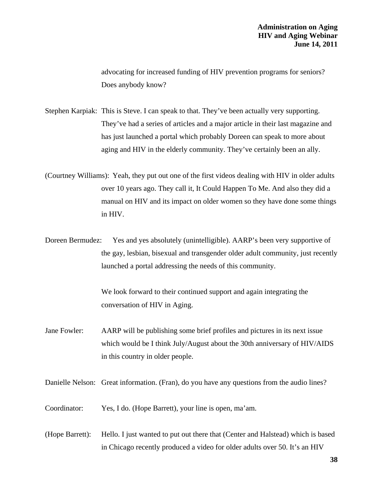advocating for increased funding of HIV prevention programs for seniors? Does anybody know?

Stephen Karpiak: This is Steve. I can speak to that. They've been actually very supporting. They've had a series of articles and a major article in their last magazine and has just launched a portal which probably Doreen can speak to more about aging and HIV in the elderly community. They've certainly been an ally.

(Courtney Williams): Yeah, they put out one of the first videos dealing with HIV in older adults over 10 years ago. They call it, It Could Happen To Me. And also they did a manual on HIV and its impact on older women so they have done some things in HIV.

Doreen Bermudez: Yes and yes absolutely (unintelligible). AARP's been very supportive of the gay, lesbian, bisexual and transgender older adult community, just recently launched a portal addressing the needs of this community.

> We look forward to their continued support and again integrating the conversation of HIV in Aging.

Jane Fowler: AARP will be publishing some brief profiles and pictures in its next issue which would be I think July/August about the 30th anniversary of HIV/AIDS in this country in older people.

Danielle Nelson: Great information. (Fran), do you have any questions from the audio lines?

Coordinator: Yes, I do. (Hope Barrett), your line is open, ma'am.

(Hope Barrett): Hello. I just wanted to put out there that (Center and Halstead) which is based in Chicago recently produced a video for older adults over 50. It's an HIV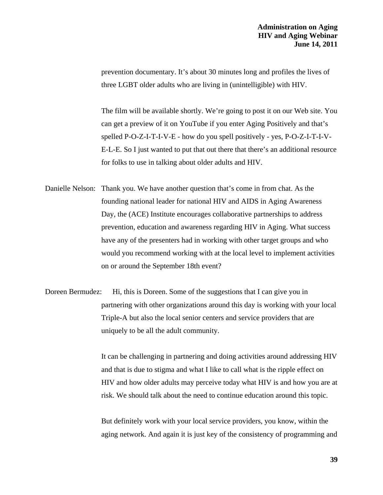prevention documentary. It's about 30 minutes long and profiles the lives of three LGBT older adults who are living in (unintelligible) with HIV.

The film will be available shortly. We're going to post it on our Web site. You can get a preview of it on YouTube if you enter Aging Positively and that's spelled P-O-Z-I-T-I-V-E - how do you spell positively - yes, P-O-Z-I-T-I-V-E-L-E. So I just wanted to put that out there that there's an additional resource for folks to use in talking about older adults and HIV.

- Danielle Nelson: Thank you. We have another question that's come in from chat. As the founding national leader for national HIV and AIDS in Aging Awareness Day, the (ACE) Institute encourages collaborative partnerships to address prevention, education and awareness regarding HIV in Aging. What success have any of the presenters had in working with other target groups and who would you recommend working with at the local level to implement activities on or around the September 18th event?
- Doreen Bermudez: Hi, this is Doreen. Some of the suggestions that I can give you in partnering with other organizations around this day is working with your local Triple-A but also the local senior centers and service providers that are uniquely to be all the adult community.

It can be challenging in partnering and doing activities around addressing HIV and that is due to stigma and what I like to call what is the ripple effect on HIV and how older adults may perceive today what HIV is and how you are at risk. We should talk about the need to continue education around this topic.

But definitely work with your local service providers, you know, within the aging network. And again it is just key of the consistency of programming and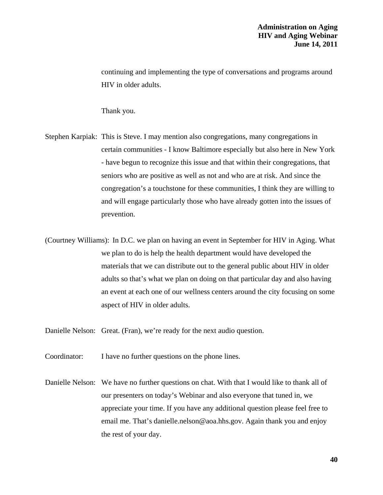continuing and implementing the type of conversations and programs around HIV in older adults.

Thank you.

Stephen Karpiak: This is Steve. I may mention also congregations, many congregations in certain communities - I know Baltimore especially but also here in New York - have begun to recognize this issue and that within their congregations, that seniors who are positive as well as not and who are at risk. And since the congregation's a touchstone for these communities, I think they are willing to and will engage particularly those who have already gotten into the issues of prevention.

(Courtney Williams): In D.C. we plan on having an event in September for HIV in Aging. What we plan to do is help the health department would have developed the materials that we can distribute out to the general public about HIV in older adults so that's what we plan on doing on that particular day and also having an event at each one of our wellness centers around the city focusing on some aspect of HIV in older adults.

Danielle Nelson: Great. (Fran), we're ready for the next audio question.

Coordinator: I have no further questions on the phone lines.

Danielle Nelson: We have no further questions on chat. With that I would like to thank all of our presenters on today's Webinar and also everyone that tuned in, we appreciate your time. If you have any additional question please feel free to email me. That's [danielle.nelson@aoa.hhs.gov.](mailto:danielle.nelson@aoa.hhs.gov) Again thank you and enjoy the rest of your day.